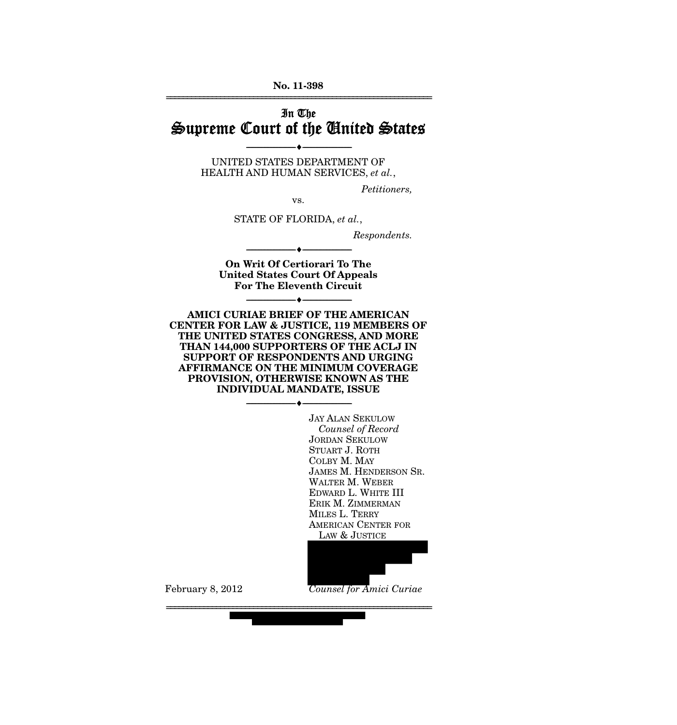**No. 11-398**  ================================================================

# In The Supreme Court of the United States

UNITED STATES DEPARTMENT OF HEALTH AND HUMAN SERVICES, *et al.*,

--------------------------------- ♦ ---------------------------------

*Petitioners,* 

vs.

STATE OF FLORIDA, *et al.*,

*Respondents.* 

**On Writ Of Certiorari To The United States Court Of Appeals For The Eleventh Circuit** 

--------------------------------- ♦ ---------------------------------

--------------------------------- ♦ ---------------------------------

**AMICI CURIAE BRIEF OF THE AMERICAN CENTER FOR LAW & JUSTICE, 119 MEMBERS OF THE UNITED STATES CONGRESS, AND MORE THAN 144,000 SUPPORTERS OF THE ACLJ IN SUPPORT OF RESPONDENTS AND URGING AFFIRMANCE ON THE MINIMUM COVERAGE PROVISION, OTHERWISE KNOWN AS THE INDIVIDUAL MANDATE, ISSUE** 

--------------------------------- ♦ ---------------------------------

================================================================

 JAY ALAN SEKULOW  *Counsel of Record*  JORDAN SEKULOW STUART J. ROTH COLBY M. MAY JAMES M. HENDERSON SR. WALTER M. WEBER EDWARD L. WHITE III ERIK M. ZIMMERMAN MILES L. TERRY AMERICAN CENTER FOR LAW & JUSTICE

February 8, 2012 *Counsel for Amici Curiae*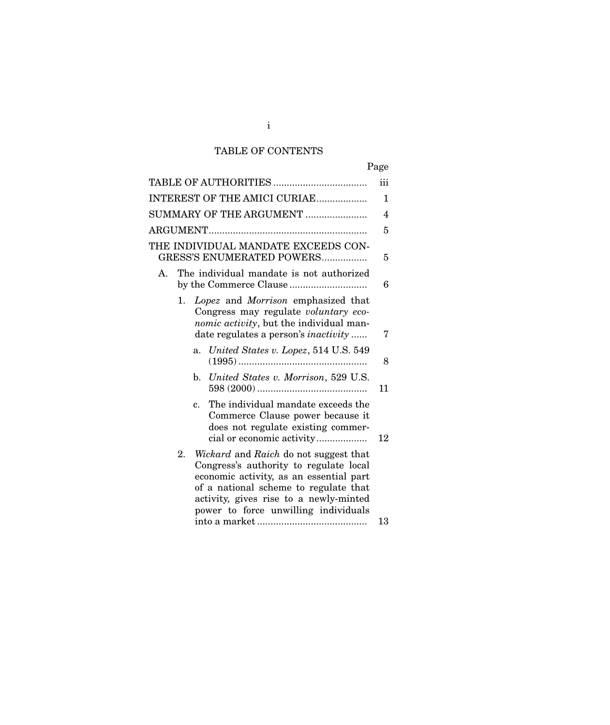# TABLE OF CONTENTS

| Page                                                                                                                                                                                                                                                        |                |
|-------------------------------------------------------------------------------------------------------------------------------------------------------------------------------------------------------------------------------------------------------------|----------------|
|                                                                                                                                                                                                                                                             | iii            |
| INTEREST OF THE AMICI CURIAE                                                                                                                                                                                                                                | 1              |
| SUMMARY OF THE ARGUMENT                                                                                                                                                                                                                                     | $\overline{4}$ |
|                                                                                                                                                                                                                                                             | 5              |
| THE INDIVIDUAL MANDATE EXCEEDS CON-<br>GRESS'S ENUMERATED POWERS                                                                                                                                                                                            | 5              |
| The individual mandate is not authorized<br>A.                                                                                                                                                                                                              | 6              |
| Lopez and Morrison emphasized that<br>1.<br>Congress may regulate voluntary eco-<br>nomic activity, but the individual man-<br>date regulates a person's <i>inactivity</i>                                                                                  | 7              |
| United States v. Lopez, 514 U.S. 549<br>a.                                                                                                                                                                                                                  | 8              |
| b. United States v. Morrison, 529 U.S.                                                                                                                                                                                                                      | 11             |
| The individual mandate exceeds the<br>$\mathbf{c}$ .<br>Commerce Clause power because it<br>does not regulate existing commer-                                                                                                                              | 12             |
| 2.<br>Wickard and Raich do not suggest that<br>Congress's authority to regulate local<br>economic activity, as an essential part<br>of a national scheme to regulate that<br>activity, gives rise to a newly-minted<br>power to force unwilling individuals | 13             |

i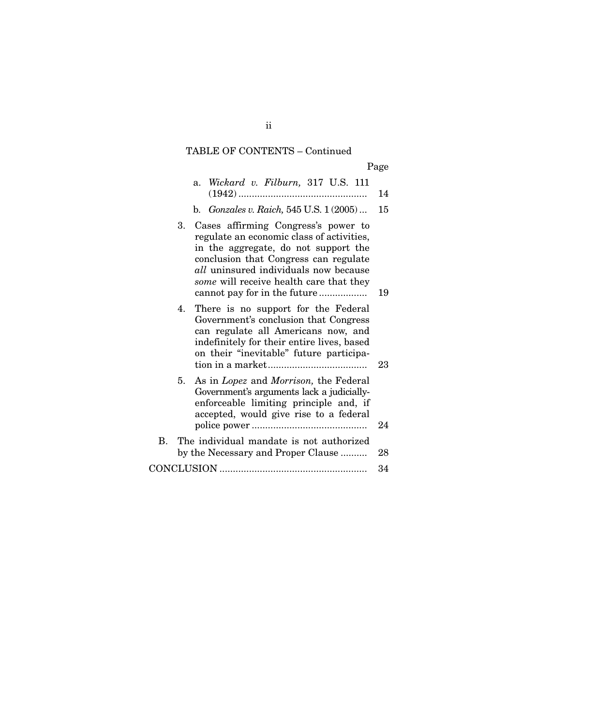# TABLE OF CONTENTS – Continued

| Page |
|------|
|------|

|    |    | a. Wickard v. Filburn, 317 U.S. 111                                                                                                                                                                                                                                                             | 14 |  |
|----|----|-------------------------------------------------------------------------------------------------------------------------------------------------------------------------------------------------------------------------------------------------------------------------------------------------|----|--|
|    |    | b. <i>Gonzales v. Raich</i> , 545 U.S. 1 (2005)                                                                                                                                                                                                                                                 | 15 |  |
|    |    | 3. Cases affirming Congress's power to<br>regulate an economic class of activities,<br>in the aggregate, do not support the<br>conclusion that Congress can regulate<br><i>all</i> uninsured individuals now because<br>some will receive health care that they<br>cannot pay for in the future | 19 |  |
|    | 4. | There is no support for the Federal<br>Government's conclusion that Congress<br>can regulate all Americans now, and<br>indefinitely for their entire lives, based<br>on their "inevitable" future participa-                                                                                    | 23 |  |
|    | 5. | As in Lopez and Morrison, the Federal<br>Government's arguments lack a judicially-<br>enforceable limiting principle and, if<br>accepted, would give rise to a federal                                                                                                                          | 24 |  |
| В. |    | The individual mandate is not authorized<br>by the Necessary and Proper Clause                                                                                                                                                                                                                  | 28 |  |
|    |    |                                                                                                                                                                                                                                                                                                 |    |  |

ii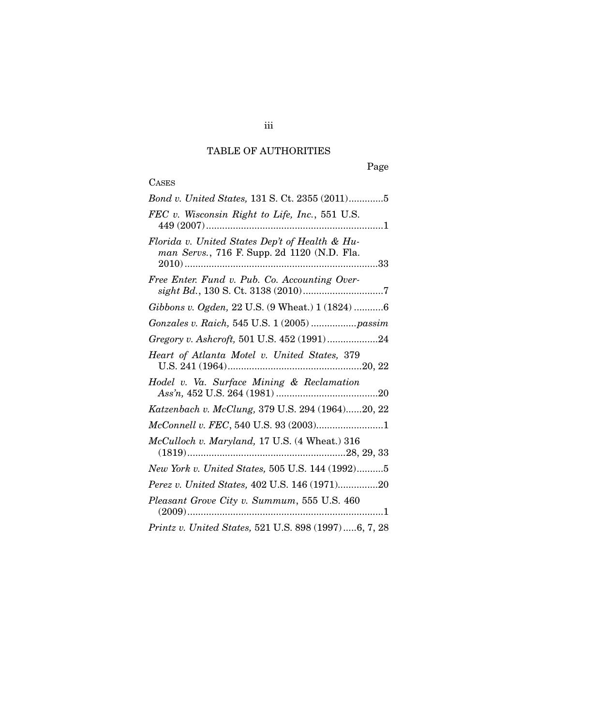# TABLE OF AUTHORITIES

## **CASES**

| Bond v. United States, 131 S. Ct. 2355 (2011)5                                                |
|-----------------------------------------------------------------------------------------------|
| FEC v. Wisconsin Right to Life, Inc., 551 U.S.                                                |
| Florida v. United States Dep't of Health & Hu-<br>man Servs., 716 F. Supp. 2d 1120 (N.D. Fla. |
| Free Enter. Fund v. Pub. Co. Accounting Over-                                                 |
| Gibbons v. Ogden, 22 U.S. (9 Wheat.) 1 (1824) 6                                               |
| Gonzales v. Raich, 545 U.S. 1 (2005)  passim                                                  |
| Gregory v. Ashcroft, 501 U.S. 452 (1991)24                                                    |
| Heart of Atlanta Motel v. United States, 379                                                  |
| Hodel v. Va. Surface Mining & Reclamation                                                     |
| Katzenbach v. McClung, 379 U.S. 294 (1964)20, 22                                              |
| McConnell v. FEC, 540 U.S. 93 (2003)1                                                         |
| McCulloch v. Maryland, 17 U.S. (4 Wheat.) 316                                                 |
| New York v. United States, 505 U.S. 144 (1992)5                                               |
| Perez v. United States, 402 U.S. 146 (1971)20                                                 |
| Pleasant Grove City v. Summum, 555 U.S. 460                                                   |
| Printz v. United States, 521 U.S. 898 (1997)6, 7, 28                                          |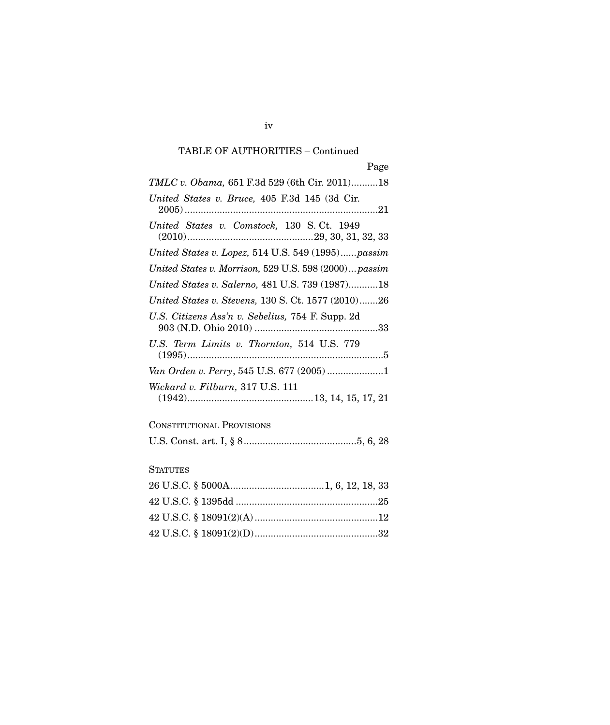# TABLE OF AUTHORITIES – Continued

| TMLC v. Obama, 651 F.3d 529 (6th Cir. 2011)18         |
|-------------------------------------------------------|
| United States v. Bruce, 405 F.3d 145 (3d Cir.         |
| United States v. Comstock, 130 S.Ct. 1949             |
| United States v. Lopez, $514$ U.S. $549$ (1995)passim |
| United States v. Morrison, 529 U.S. 598 (2000) passim |
| United States v. Salerno, 481 U.S. 739 (1987)18       |
| United States v. Stevens, 130 S. Ct. 1577 (2010)26    |
| U.S. Citizens Ass'n v. Sebelius, 754 F. Supp. 2d      |
| U.S. Term Limits v. Thornton, 514 U.S. 779            |
| Van Orden v. Perry, 545 U.S. 677 (2005) 1             |
| Wickard v. Filburn, 317 U.S. 111                      |
| <b>CONSTITUTIONAL PROVISIONS</b>                      |
|                                                       |
| <b>STATUTES</b>                                       |
|                                                       |
|                                                       |
|                                                       |
|                                                       |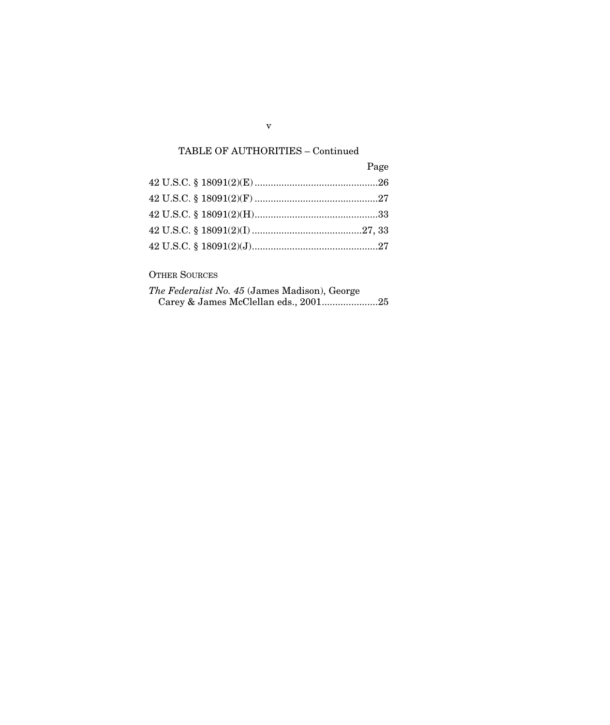# TABLE OF AUTHORITIES – Continued

| Page |
|------|
|      |
|      |
|      |
|      |
|      |

# OTHER SOURCES

| <i>The Federalist No. 45 (James Madison), George</i> |  |  |
|------------------------------------------------------|--|--|
|                                                      |  |  |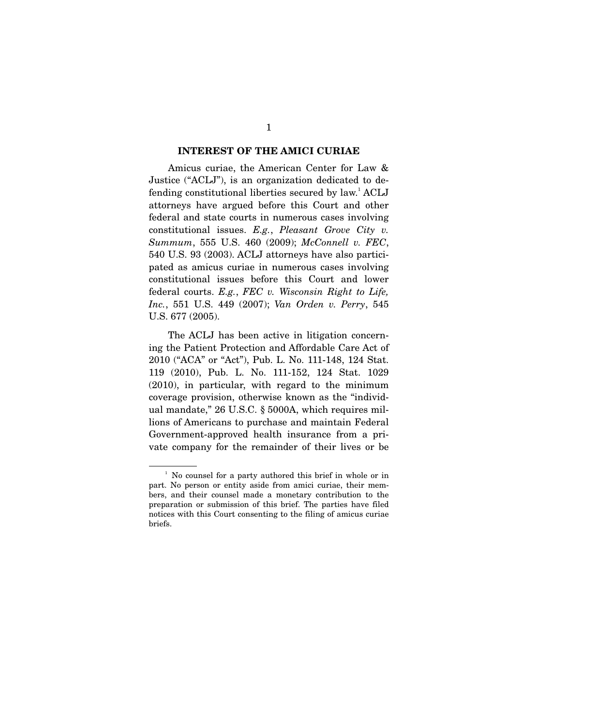#### **INTEREST OF THE AMICI CURIAE**

Amicus curiae, the American Center for Law & Justice ("ACLJ"), is an organization dedicated to defending constitutional liberties secured by law.<sup>1</sup> ACLJ attorneys have argued before this Court and other federal and state courts in numerous cases involving constitutional issues. *E.g.*, *Pleasant Grove City v. Summum*, 555 U.S. 460 (2009); *McConnell v. FEC*, 540 U.S. 93 (2003). ACLJ attorneys have also participated as amicus curiae in numerous cases involving constitutional issues before this Court and lower federal courts. *E.g.*, *FEC v. Wisconsin Right to Life, Inc.*, 551 U.S. 449 (2007); *Van Orden v. Perry*, 545 U.S. 677 (2005).

 The ACLJ has been active in litigation concerning the Patient Protection and Affordable Care Act of 2010 ("ACA" or "Act"), Pub. L. No. 111-148, 124 Stat. 119 (2010), Pub. L. No. 111-152, 124 Stat. 1029 (2010), in particular, with regard to the minimum coverage provision, otherwise known as the "individual mandate," 26 U.S.C. § 5000A, which requires millions of Americans to purchase and maintain Federal Government-approved health insurance from a private company for the remainder of their lives or be

<sup>&</sup>lt;sup>1</sup> No counsel for a party authored this brief in whole or in part. No person or entity aside from amici curiae, their members, and their counsel made a monetary contribution to the preparation or submission of this brief. The parties have filed notices with this Court consenting to the filing of amicus curiae briefs.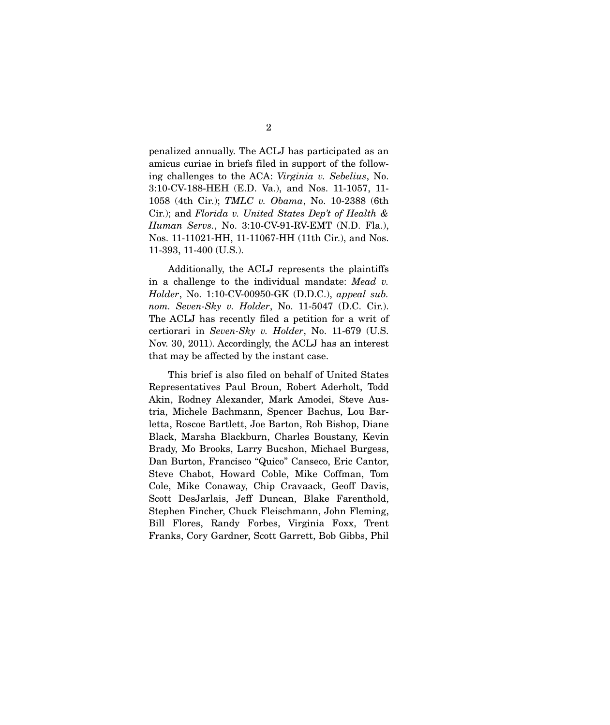penalized annually. The ACLJ has participated as an amicus curiae in briefs filed in support of the following challenges to the ACA: *Virginia v. Sebelius*, No. 3:10-CV-188-HEH (E.D. Va.), and Nos. 11-1057, 11- 1058 (4th Cir.); *TMLC v. Obama*, No. 10-2388 (6th Cir.); and *Florida v. United States Dep't of Health & Human Servs.*, No. 3:10-CV-91-RV-EMT (N.D. Fla.), Nos. 11-11021-HH, 11-11067-HH (11th Cir.), and Nos. 11-393, 11-400 (U.S.).

 Additionally, the ACLJ represents the plaintiffs in a challenge to the individual mandate: *Mead v. Holder*, No. 1:10-CV-00950-GK (D.D.C.), *appeal sub. nom. Seven-Sky v. Holder*, No. 11-5047 (D.C. Cir.). The ACLJ has recently filed a petition for a writ of certiorari in *Seven-Sky v. Holder*, No. 11-679 (U.S. Nov. 30, 2011). Accordingly, the ACLJ has an interest that may be affected by the instant case.

 This brief is also filed on behalf of United States Representatives Paul Broun, Robert Aderholt, Todd Akin, Rodney Alexander, Mark Amodei, Steve Austria, Michele Bachmann, Spencer Bachus, Lou Barletta, Roscoe Bartlett, Joe Barton, Rob Bishop, Diane Black, Marsha Blackburn, Charles Boustany, Kevin Brady, Mo Brooks, Larry Bucshon, Michael Burgess, Dan Burton, Francisco "Quico" Canseco, Eric Cantor, Steve Chabot, Howard Coble, Mike Coffman, Tom Cole, Mike Conaway, Chip Cravaack, Geoff Davis, Scott DesJarlais, Jeff Duncan, Blake Farenthold, Stephen Fincher, Chuck Fleischmann, John Fleming, Bill Flores, Randy Forbes, Virginia Foxx, Trent Franks, Cory Gardner, Scott Garrett, Bob Gibbs, Phil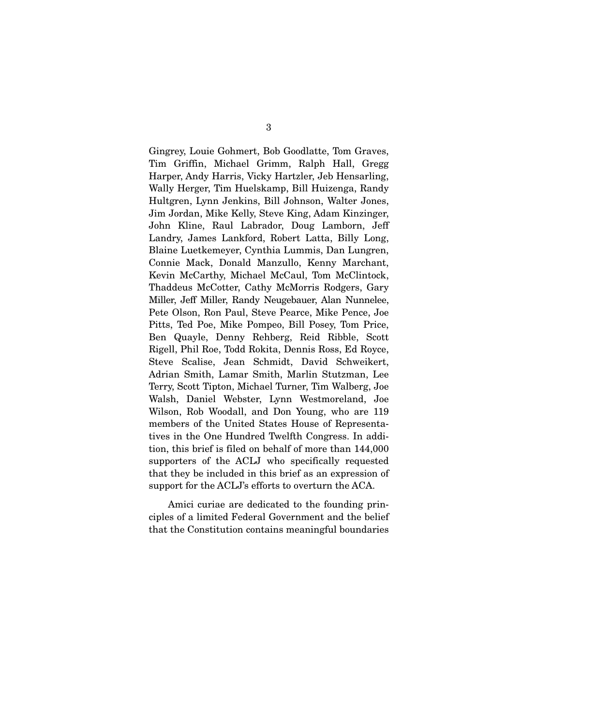Gingrey, Louie Gohmert, Bob Goodlatte, Tom Graves, Tim Griffin, Michael Grimm, Ralph Hall, Gregg Harper, Andy Harris, Vicky Hartzler, Jeb Hensarling, Wally Herger, Tim Huelskamp, Bill Huizenga, Randy Hultgren, Lynn Jenkins, Bill Johnson, Walter Jones, Jim Jordan, Mike Kelly, Steve King, Adam Kinzinger, John Kline, Raul Labrador, Doug Lamborn, Jeff Landry, James Lankford, Robert Latta, Billy Long, Blaine Luetkemeyer, Cynthia Lummis, Dan Lungren, Connie Mack, Donald Manzullo, Kenny Marchant, Kevin McCarthy, Michael McCaul, Tom McClintock, Thaddeus McCotter, Cathy McMorris Rodgers, Gary Miller, Jeff Miller, Randy Neugebauer, Alan Nunnelee, Pete Olson, Ron Paul, Steve Pearce, Mike Pence, Joe Pitts, Ted Poe, Mike Pompeo, Bill Posey, Tom Price, Ben Quayle, Denny Rehberg, Reid Ribble, Scott Rigell, Phil Roe, Todd Rokita, Dennis Ross, Ed Royce, Steve Scalise, Jean Schmidt, David Schweikert, Adrian Smith, Lamar Smith, Marlin Stutzman, Lee Terry, Scott Tipton, Michael Turner, Tim Walberg, Joe Walsh, Daniel Webster, Lynn Westmoreland, Joe Wilson, Rob Woodall, and Don Young, who are 119 members of the United States House of Representatives in the One Hundred Twelfth Congress. In addition, this brief is filed on behalf of more than 144,000 supporters of the ACLJ who specifically requested that they be included in this brief as an expression of support for the ACLJ's efforts to overturn the ACA.

 Amici curiae are dedicated to the founding principles of a limited Federal Government and the belief that the Constitution contains meaningful boundaries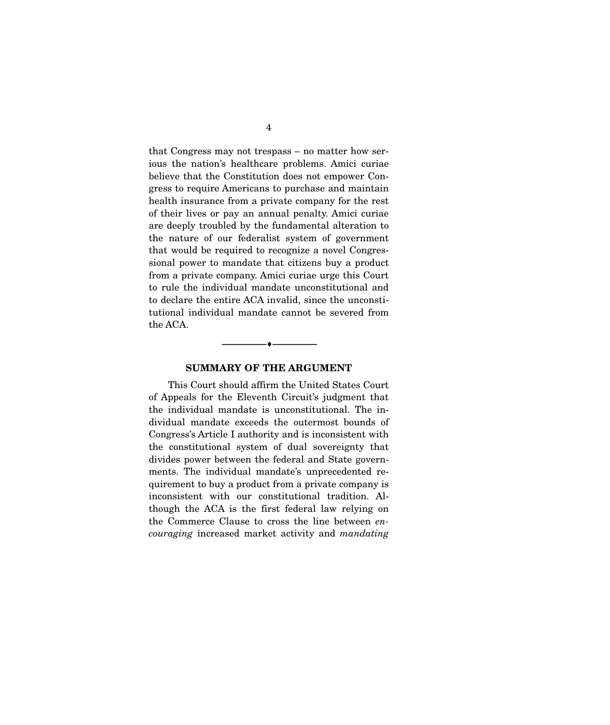that Congress may not trespass – no matter how serious the nation's healthcare problems. Amici curiae believe that the Constitution does not empower Congress to require Americans to purchase and maintain health insurance from a private company for the rest of their lives or pay an annual penalty. Amici curiae are deeply troubled by the fundamental alteration to the nature of our federalist system of government that would be required to recognize a novel Congressional power to mandate that citizens buy a product from a private company. Amici curiae urge this Court to rule the individual mandate unconstitutional and to declare the entire ACA invalid, since the unconstitutional individual mandate cannot be severed from the ACA.

### **SUMMARY OF THE ARGUMENT**

--------------------------------- ♦ ---------------------------------

This Court should affirm the United States Court of Appeals for the Eleventh Circuit's judgment that the individual mandate is unconstitutional. The individual mandate exceeds the outermost bounds of Congress's Article I authority and is inconsistent with the constitutional system of dual sovereignty that divides power between the federal and State governments. The individual mandate's unprecedented requirement to buy a product from a private company is inconsistent with our constitutional tradition. Although the ACA is the first federal law relying on the Commerce Clause to cross the line between *encouraging* increased market activity and *mandating*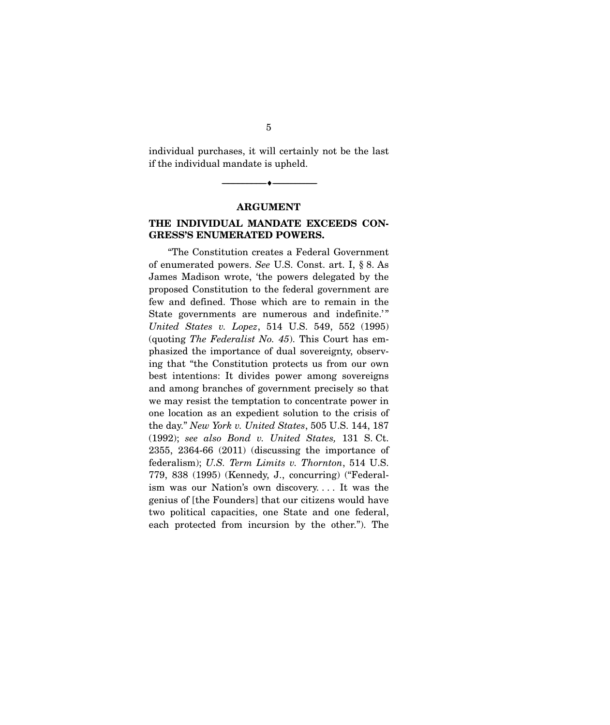individual purchases, it will certainly not be the last if the individual mandate is upheld.

**ARGUMENT** 

 $\overbrace{\hspace{2.5cm}}$   $\overbrace{\hspace{2.5cm}}$ 

### **THE INDIVIDUAL MANDATE EXCEEDS CON-GRESS'S ENUMERATED POWERS.**

"The Constitution creates a Federal Government of enumerated powers. *See* U.S. Const. art. I, § 8. As James Madison wrote, 'the powers delegated by the proposed Constitution to the federal government are few and defined. Those which are to remain in the State governments are numerous and indefinite.'" *United States v. Lopez*, 514 U.S. 549, 552 (1995) (quoting *The Federalist No. 45*). This Court has emphasized the importance of dual sovereignty, observing that "the Constitution protects us from our own best intentions: It divides power among sovereigns and among branches of government precisely so that we may resist the temptation to concentrate power in one location as an expedient solution to the crisis of the day." *New York v. United States*, 505 U.S. 144, 187 (1992); *see also Bond v. United States,* 131 S. Ct. 2355, 2364-66 (2011) (discussing the importance of federalism); *U.S. Term Limits v. Thornton*, 514 U.S. 779, 838 (1995) (Kennedy, J., concurring) ("Federalism was our Nation's own discovery. . . . It was the genius of [the Founders] that our citizens would have two political capacities, one State and one federal, each protected from incursion by the other."). The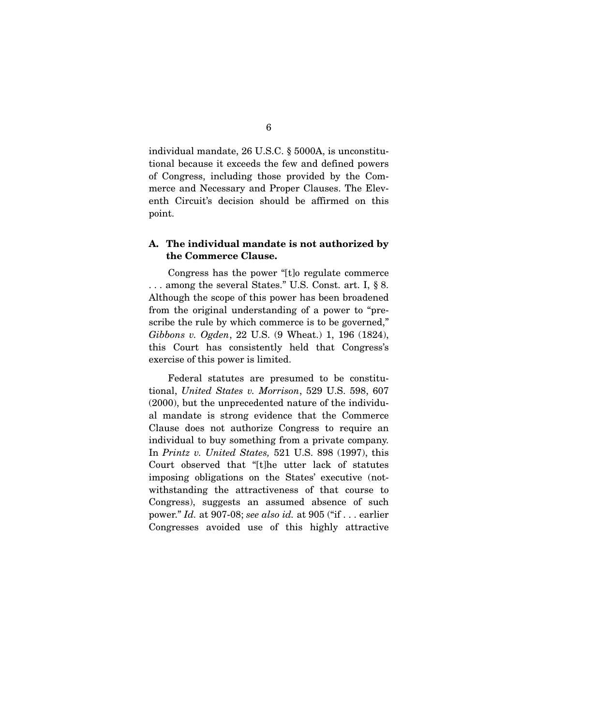individual mandate, 26 U.S.C. § 5000A, is unconstitutional because it exceeds the few and defined powers of Congress, including those provided by the Commerce and Necessary and Proper Clauses. The Eleventh Circuit's decision should be affirmed on this point.

### **A. The individual mandate is not authorized by the Commerce Clause.**

Congress has the power "[t]o regulate commerce . . . among the several States." U.S. Const. art. I, § 8. Although the scope of this power has been broadened from the original understanding of a power to "prescribe the rule by which commerce is to be governed," *Gibbons v. Ogden*, 22 U.S. (9 Wheat.) 1, 196 (1824), this Court has consistently held that Congress's exercise of this power is limited.

 Federal statutes are presumed to be constitutional, *United States v. Morrison*, 529 U.S. 598, 607 (2000), but the unprecedented nature of the individual mandate is strong evidence that the Commerce Clause does not authorize Congress to require an individual to buy something from a private company. In *Printz v. United States,* 521 U.S. 898 (1997), this Court observed that "[t]he utter lack of statutes imposing obligations on the States' executive (notwithstanding the attractiveness of that course to Congress), suggests an assumed absence of such power." *Id.* at 907-08; *see also id.* at 905 ("if . . . earlier Congresses avoided use of this highly attractive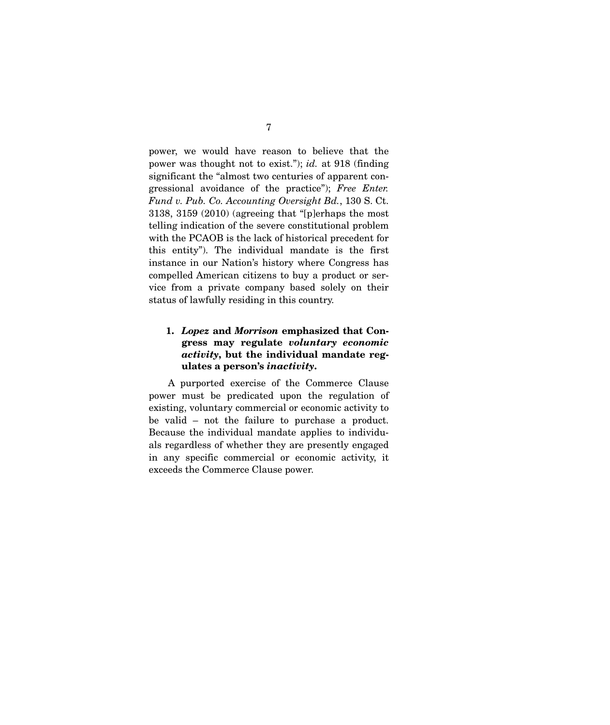power, we would have reason to believe that the power was thought not to exist."); *id.* at 918 (finding significant the "almost two centuries of apparent congressional avoidance of the practice"); *Free Enter. Fund v. Pub. Co. Accounting Oversight Bd.*, 130 S. Ct. 3138, 3159 (2010) (agreeing that "[p]erhaps the most telling indication of the severe constitutional problem with the PCAOB is the lack of historical precedent for this entity"). The individual mandate is the first instance in our Nation's history where Congress has compelled American citizens to buy a product or service from a private company based solely on their status of lawfully residing in this country.

## **1.** *Lopez* **and** *Morrison* **emphasized that Congress may regulate** *voluntary economic activity***, but the individual mandate regulates a person's** *inactivity***.**

A purported exercise of the Commerce Clause power must be predicated upon the regulation of existing, voluntary commercial or economic activity to be valid – not the failure to purchase a product. Because the individual mandate applies to individuals regardless of whether they are presently engaged in any specific commercial or economic activity, it exceeds the Commerce Clause power.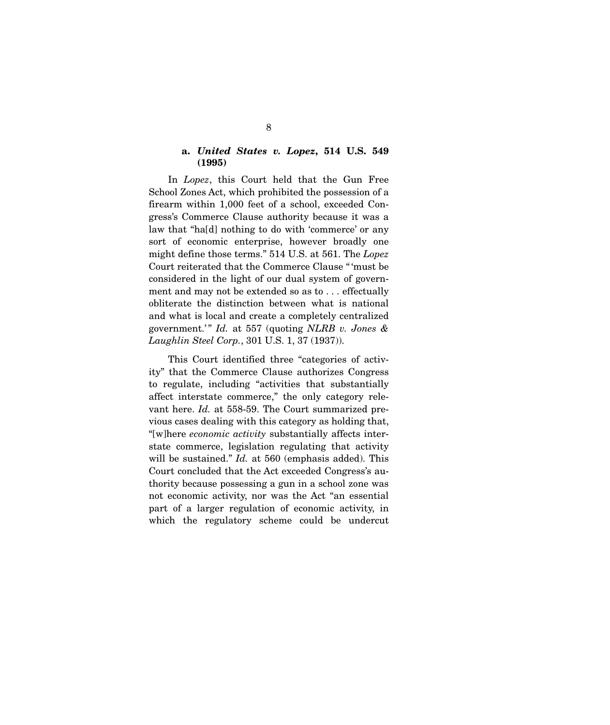#### **a.** *United States v. Lopez***, 514 U.S. 549 (1995)**

In *Lopez*, this Court held that the Gun Free School Zones Act, which prohibited the possession of a firearm within 1,000 feet of a school, exceeded Congress's Commerce Clause authority because it was a law that "ha[d] nothing to do with 'commerce' or any sort of economic enterprise, however broadly one might define those terms." 514 U.S. at 561. The *Lopez*  Court reiterated that the Commerce Clause " 'must be considered in the light of our dual system of government and may not be extended so as to . . . effectually obliterate the distinction between what is national and what is local and create a completely centralized government.' " *Id.* at 557 (quoting *NLRB v. Jones & Laughlin Steel Corp.*, 301 U.S. 1, 37 (1937)).

 This Court identified three "categories of activity" that the Commerce Clause authorizes Congress to regulate, including "activities that substantially affect interstate commerce," the only category relevant here. *Id.* at 558-59. The Court summarized previous cases dealing with this category as holding that, "[w]here *economic activity* substantially affects interstate commerce, legislation regulating that activity will be sustained." *Id.* at 560 (emphasis added). This Court concluded that the Act exceeded Congress's authority because possessing a gun in a school zone was not economic activity, nor was the Act "an essential part of a larger regulation of economic activity, in which the regulatory scheme could be undercut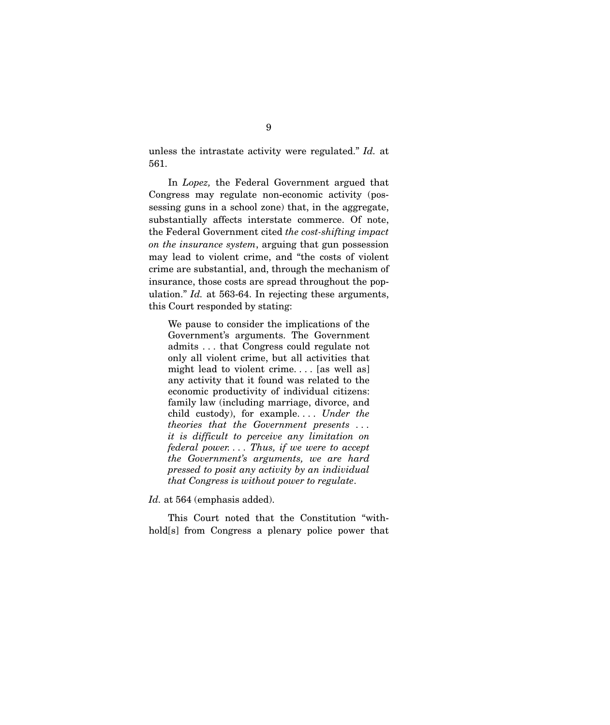unless the intrastate activity were regulated." *Id.* at 561.

 In *Lopez,* the Federal Government argued that Congress may regulate non-economic activity (possessing guns in a school zone) that, in the aggregate, substantially affects interstate commerce. Of note, the Federal Government cited *the cost-shifting impact on the insurance system*, arguing that gun possession may lead to violent crime, and "the costs of violent crime are substantial, and, through the mechanism of insurance, those costs are spread throughout the population." *Id.* at 563-64. In rejecting these arguments, this Court responded by stating:

We pause to consider the implications of the Government's arguments. The Government admits . . . that Congress could regulate not only all violent crime, but all activities that might lead to violent crime. . . . [as well as] any activity that it found was related to the economic productivity of individual citizens: family law (including marriage, divorce, and child custody), for example. . . . *Under the theories that the Government presents . . . it is difficult to perceive any limitation on federal power. . . . Thus, if we were to accept the Government's arguments, we are hard pressed to posit any activity by an individual that Congress is without power to regulate*.

*Id.* at 564 (emphasis added).

 This Court noted that the Constitution "withhold[s] from Congress a plenary police power that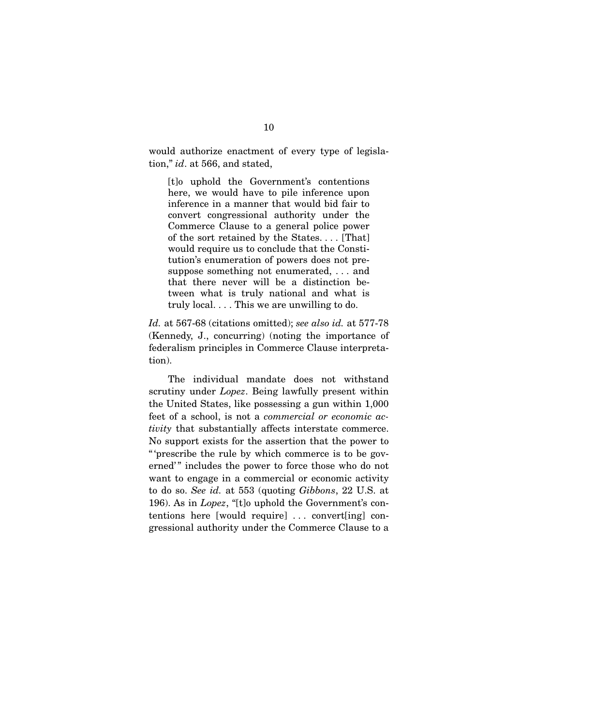would authorize enactment of every type of legislation," *id*. at 566, and stated,

[t]o uphold the Government's contentions here, we would have to pile inference upon inference in a manner that would bid fair to convert congressional authority under the Commerce Clause to a general police power of the sort retained by the States. . . . [That] would require us to conclude that the Constitution's enumeration of powers does not presuppose something not enumerated, . . . and that there never will be a distinction between what is truly national and what is truly local. . . . This we are unwilling to do.

*Id.* at 567-68 (citations omitted); *see also id.* at 577-78 (Kennedy, J., concurring) (noting the importance of federalism principles in Commerce Clause interpretation).

 The individual mandate does not withstand scrutiny under *Lopez*. Being lawfully present within the United States, like possessing a gun within 1,000 feet of a school, is not a *commercial or economic activity* that substantially affects interstate commerce. No support exists for the assertion that the power to " 'prescribe the rule by which commerce is to be governed'" includes the power to force those who do not want to engage in a commercial or economic activity to do so. *See id.* at 553 (quoting *Gibbons*, 22 U.S. at 196). As in *Lopez*, "[t]o uphold the Government's contentions here [would require] . . . convert[ing] congressional authority under the Commerce Clause to a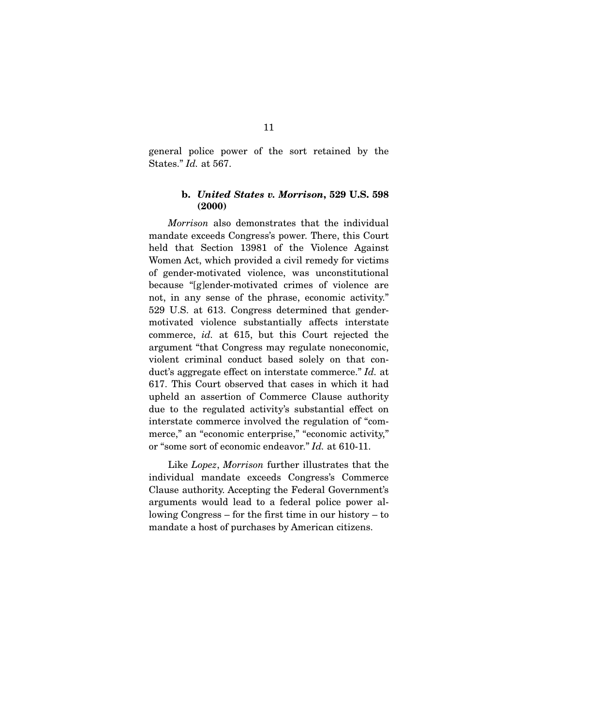general police power of the sort retained by the States." *Id.* at 567.

### **b.** *United States v. Morrison***, 529 U.S. 598 (2000)**

*Morrison* also demonstrates that the individual mandate exceeds Congress's power. There, this Court held that Section 13981 of the Violence Against Women Act, which provided a civil remedy for victims of gender-motivated violence, was unconstitutional because "[g]ender-motivated crimes of violence are not, in any sense of the phrase, economic activity." 529 U.S. at 613. Congress determined that gendermotivated violence substantially affects interstate commerce, *id.* at 615, but this Court rejected the argument "that Congress may regulate noneconomic, violent criminal conduct based solely on that conduct's aggregate effect on interstate commerce." *Id.* at 617. This Court observed that cases in which it had upheld an assertion of Commerce Clause authority due to the regulated activity's substantial effect on interstate commerce involved the regulation of "commerce," an "economic enterprise," "economic activity," or "some sort of economic endeavor." *Id.* at 610-11.

 Like *Lopez*, *Morrison* further illustrates that the individual mandate exceeds Congress's Commerce Clause authority. Accepting the Federal Government's arguments would lead to a federal police power allowing Congress – for the first time in our history – to mandate a host of purchases by American citizens.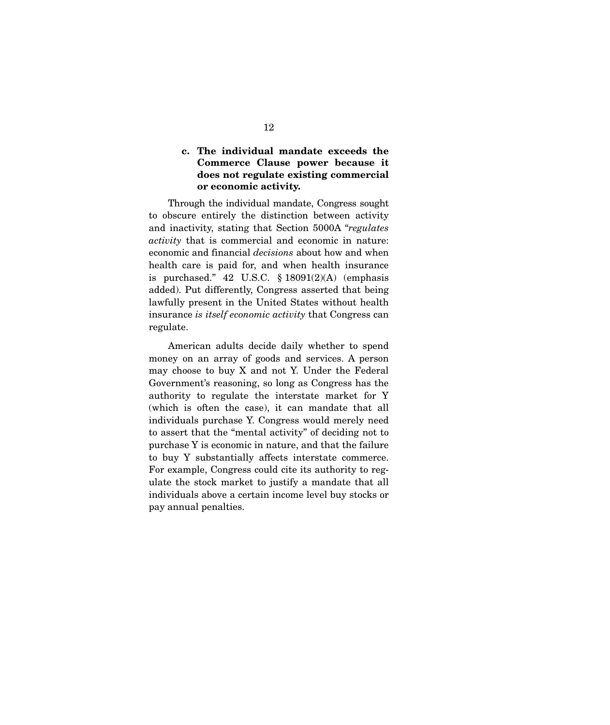### **c. The individual mandate exceeds the Commerce Clause power because it does not regulate existing commercial or economic activity.**

Through the individual mandate, Congress sought to obscure entirely the distinction between activity and inactivity, stating that Section 5000A "*regulates activity* that is commercial and economic in nature: economic and financial *decisions* about how and when health care is paid for, and when health insurance is purchased." 42 U.S.C.  $\S 18091(2)(A)$  (emphasis added). Put differently, Congress asserted that being lawfully present in the United States without health insurance *is itself economic activity* that Congress can regulate.

 American adults decide daily whether to spend money on an array of goods and services. A person may choose to buy X and not Y. Under the Federal Government's reasoning, so long as Congress has the authority to regulate the interstate market for Y (which is often the case), it can mandate that all individuals purchase Y. Congress would merely need to assert that the "mental activity" of deciding not to purchase Y is economic in nature, and that the failure to buy Y substantially affects interstate commerce. For example, Congress could cite its authority to regulate the stock market to justify a mandate that all individuals above a certain income level buy stocks or pay annual penalties.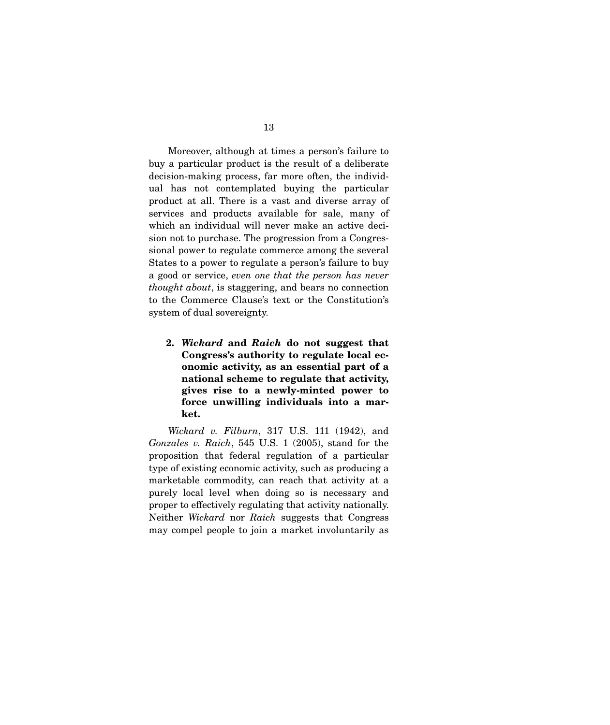Moreover, although at times a person's failure to buy a particular product is the result of a deliberate decision-making process, far more often, the individual has not contemplated buying the particular product at all. There is a vast and diverse array of services and products available for sale, many of which an individual will never make an active decision not to purchase. The progression from a Congressional power to regulate commerce among the several States to a power to regulate a person's failure to buy a good or service, *even one that the person has never thought about*, is staggering, and bears no connection to the Commerce Clause's text or the Constitution's system of dual sovereignty.

**2.** *Wickard* **and** *Raich* **do not suggest that Congress's authority to regulate local economic activity, as an essential part of a national scheme to regulate that activity, gives rise to a newly-minted power to force unwilling individuals into a market.**

*Wickard v. Filburn*, 317 U.S. 111 (1942), and *Gonzales v. Raich*, 545 U.S. 1 (2005), stand for the proposition that federal regulation of a particular type of existing economic activity, such as producing a marketable commodity, can reach that activity at a purely local level when doing so is necessary and proper to effectively regulating that activity nationally. Neither *Wickard* nor *Raich* suggests that Congress may compel people to join a market involuntarily as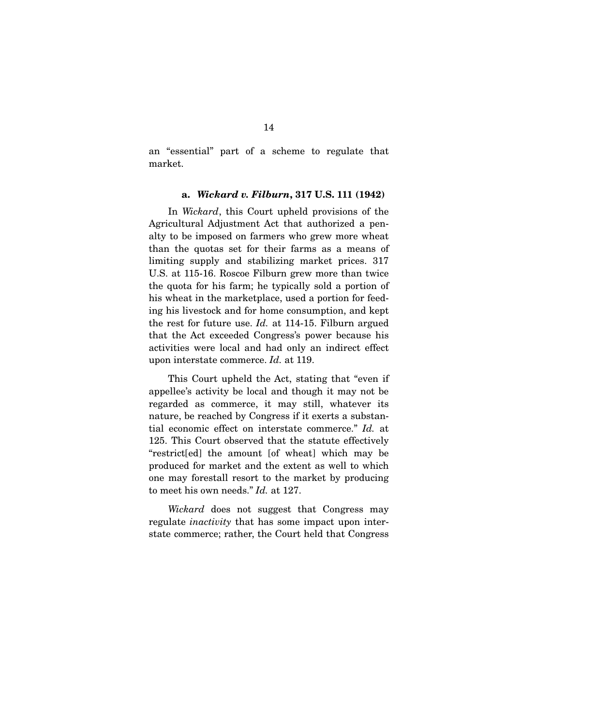an "essential" part of a scheme to regulate that market.

#### **a.** *Wickard v. Filburn***, 317 U.S. 111 (1942)**

In *Wickard*, this Court upheld provisions of the Agricultural Adjustment Act that authorized a penalty to be imposed on farmers who grew more wheat than the quotas set for their farms as a means of limiting supply and stabilizing market prices. 317 U.S. at 115-16. Roscoe Filburn grew more than twice the quota for his farm; he typically sold a portion of his wheat in the marketplace, used a portion for feeding his livestock and for home consumption, and kept the rest for future use. *Id.* at 114-15. Filburn argued that the Act exceeded Congress's power because his activities were local and had only an indirect effect upon interstate commerce. *Id.* at 119.

 This Court upheld the Act, stating that "even if appellee's activity be local and though it may not be regarded as commerce, it may still, whatever its nature, be reached by Congress if it exerts a substantial economic effect on interstate commerce." *Id.* at 125. This Court observed that the statute effectively "restrict[ed] the amount [of wheat] which may be produced for market and the extent as well to which one may forestall resort to the market by producing to meet his own needs." *Id.* at 127.

*Wickard* does not suggest that Congress may regulate *inactivity* that has some impact upon interstate commerce; rather, the Court held that Congress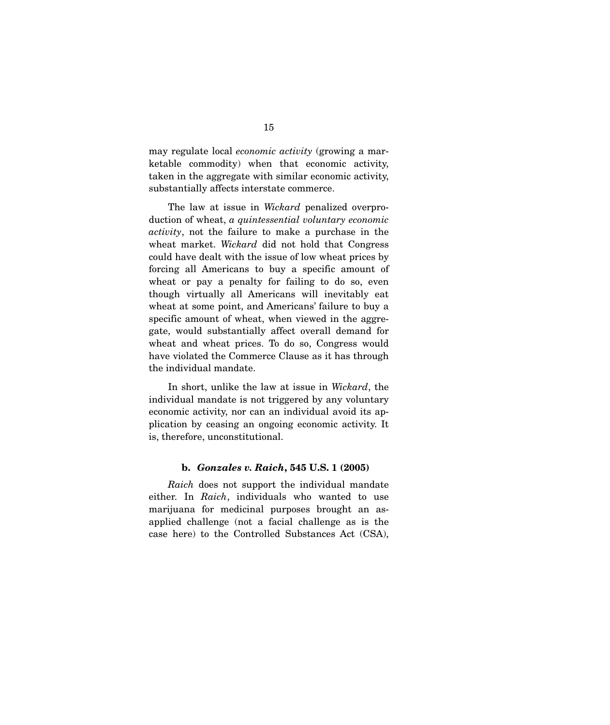may regulate local *economic activity* (growing a marketable commodity) when that economic activity, taken in the aggregate with similar economic activity, substantially affects interstate commerce.

 The law at issue in *Wickard* penalized overproduction of wheat, *a quintessential voluntary economic activity*, not the failure to make a purchase in the wheat market. *Wickard* did not hold that Congress could have dealt with the issue of low wheat prices by forcing all Americans to buy a specific amount of wheat or pay a penalty for failing to do so, even though virtually all Americans will inevitably eat wheat at some point, and Americans' failure to buy a specific amount of wheat, when viewed in the aggregate, would substantially affect overall demand for wheat and wheat prices. To do so, Congress would have violated the Commerce Clause as it has through the individual mandate.

 In short, unlike the law at issue in *Wickard*, the individual mandate is not triggered by any voluntary economic activity, nor can an individual avoid its application by ceasing an ongoing economic activity. It is, therefore, unconstitutional.

#### **b.** *Gonzales v. Raich***, 545 U.S. 1 (2005)**

*Raich* does not support the individual mandate either. In *Raich*, individuals who wanted to use marijuana for medicinal purposes brought an asapplied challenge (not a facial challenge as is the case here) to the Controlled Substances Act (CSA),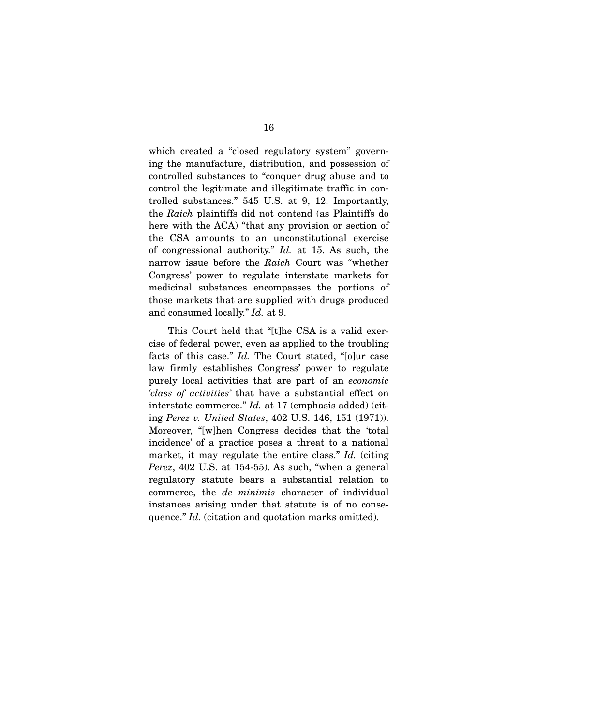which created a "closed regulatory system" governing the manufacture, distribution, and possession of controlled substances to "conquer drug abuse and to control the legitimate and illegitimate traffic in controlled substances." 545 U.S. at 9, 12. Importantly, the *Raich* plaintiffs did not contend (as Plaintiffs do here with the ACA) "that any provision or section of the CSA amounts to an unconstitutional exercise of congressional authority." *Id.* at 15. As such, the narrow issue before the *Raich* Court was "whether Congress' power to regulate interstate markets for medicinal substances encompasses the portions of those markets that are supplied with drugs produced and consumed locally." *Id.* at 9.

 This Court held that "[t]he CSA is a valid exercise of federal power, even as applied to the troubling facts of this case." *Id.* The Court stated, "[o]ur case law firmly establishes Congress' power to regulate purely local activities that are part of an *economic 'class of activities'* that have a substantial effect on interstate commerce." *Id.* at 17 (emphasis added) (citing *Perez v. United States*, 402 U.S. 146, 151 (1971)). Moreover, "[w]hen Congress decides that the 'total incidence' of a practice poses a threat to a national market, it may regulate the entire class." *Id.* (citing *Perez*, 402 U.S. at 154-55). As such, "when a general regulatory statute bears a substantial relation to commerce, the *de minimis* character of individual instances arising under that statute is of no consequence." *Id.* (citation and quotation marks omitted).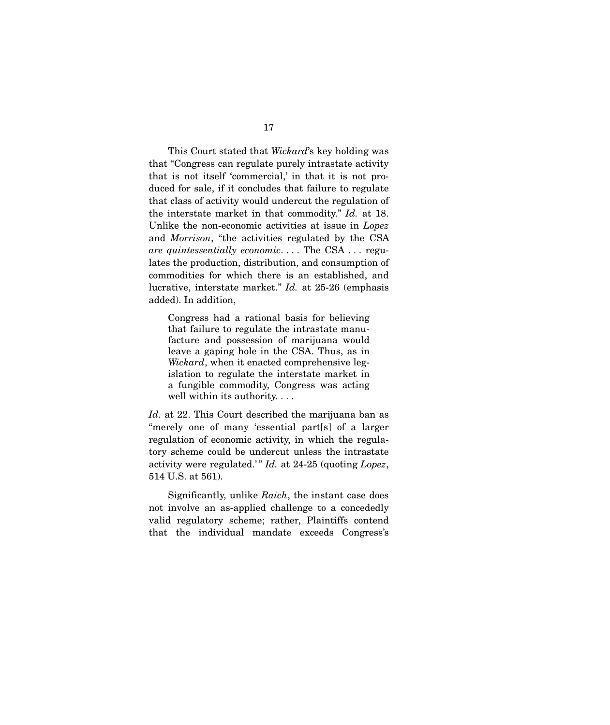This Court stated that *Wickard*'s key holding was that "Congress can regulate purely intrastate activity that is not itself 'commercial,' in that it is not produced for sale, if it concludes that failure to regulate that class of activity would undercut the regulation of the interstate market in that commodity." *Id.* at 18. Unlike the non-economic activities at issue in *Lopez* and *Morrison*, "the activities regulated by the CSA *are quintessentially economic*. . . . The CSA . . . regulates the production, distribution, and consumption of commodities for which there is an established, and lucrative, interstate market." *Id.* at 25-26 (emphasis added). In addition,

Congress had a rational basis for believing that failure to regulate the intrastate manufacture and possession of marijuana would leave a gaping hole in the CSA. Thus, as in *Wickard*, when it enacted comprehensive legislation to regulate the interstate market in a fungible commodity, Congress was acting well within its authority. . . .

*Id.* at 22. This Court described the marijuana ban as "merely one of many 'essential part[s] of a larger regulation of economic activity, in which the regulatory scheme could be undercut unless the intrastate activity were regulated.'" *Id.* at 24-25 (quoting *Lopez*, 514 U.S. at 561).

 Significantly, unlike *Raich*, the instant case does not involve an as-applied challenge to a concededly valid regulatory scheme; rather, Plaintiffs contend that the individual mandate exceeds Congress's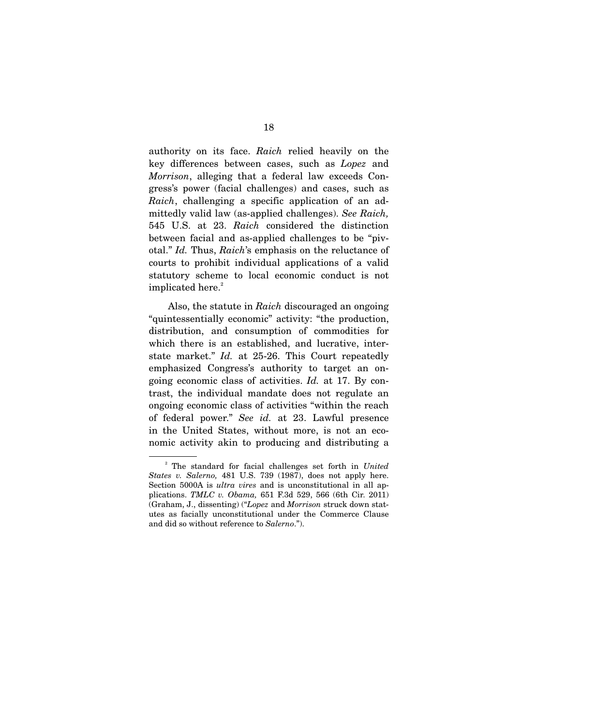authority on its face. *Raich* relied heavily on the key differences between cases, such as *Lopez* and *Morrison*, alleging that a federal law exceeds Congress's power (facial challenges) and cases, such as *Raich*, challenging a specific application of an admittedly valid law (as-applied challenges). *See Raich,*  545 U.S. at 23. *Raich* considered the distinction between facial and as-applied challenges to be "pivotal." *Id.* Thus, *Raich*'s emphasis on the reluctance of courts to prohibit individual applications of a valid statutory scheme to local economic conduct is not implicated here.<sup>2</sup>

 Also, the statute in *Raich* discouraged an ongoing "quintessentially economic" activity: "the production, distribution, and consumption of commodities for which there is an established, and lucrative, interstate market." *Id.* at 25-26. This Court repeatedly emphasized Congress's authority to target an ongoing economic class of activities. *Id.* at 17. By contrast, the individual mandate does not regulate an ongoing economic class of activities "within the reach of federal power." *See id.* at 23. Lawful presence in the United States, without more, is not an economic activity akin to producing and distributing a

<sup>2</sup> The standard for facial challenges set forth in *United States v. Salerno,* 481 U.S. 739 (1987), does not apply here. Section 5000A is *ultra vires* and is unconstitutional in all applications. *TMLC v. Obama,* 651 F.3d 529, 566 (6th Cir. 2011) (Graham, J., dissenting) ("*Lopez* and *Morrison* struck down statutes as facially unconstitutional under the Commerce Clause and did so without reference to *Salerno*.").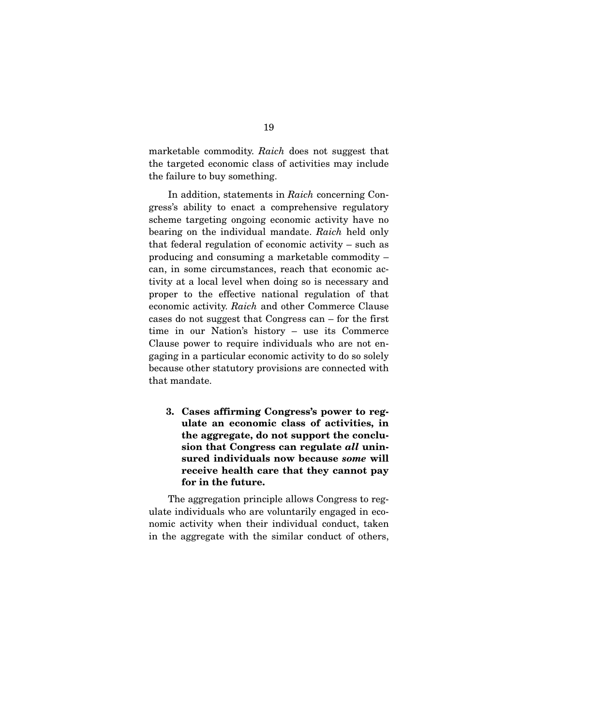marketable commodity. *Raich* does not suggest that the targeted economic class of activities may include the failure to buy something.

 In addition, statements in *Raich* concerning Congress's ability to enact a comprehensive regulatory scheme targeting ongoing economic activity have no bearing on the individual mandate. *Raich* held only that federal regulation of economic activity – such as producing and consuming a marketable commodity – can, in some circumstances, reach that economic activity at a local level when doing so is necessary and proper to the effective national regulation of that economic activity. *Raich* and other Commerce Clause cases do not suggest that Congress can – for the first time in our Nation's history – use its Commerce Clause power to require individuals who are not engaging in a particular economic activity to do so solely because other statutory provisions are connected with that mandate.

**3. Cases affirming Congress's power to regulate an economic class of activities, in the aggregate, do not support the conclusion that Congress can regulate** *all* **uninsured individuals now because** *some* **will receive health care that they cannot pay for in the future.**

The aggregation principle allows Congress to regulate individuals who are voluntarily engaged in economic activity when their individual conduct, taken in the aggregate with the similar conduct of others,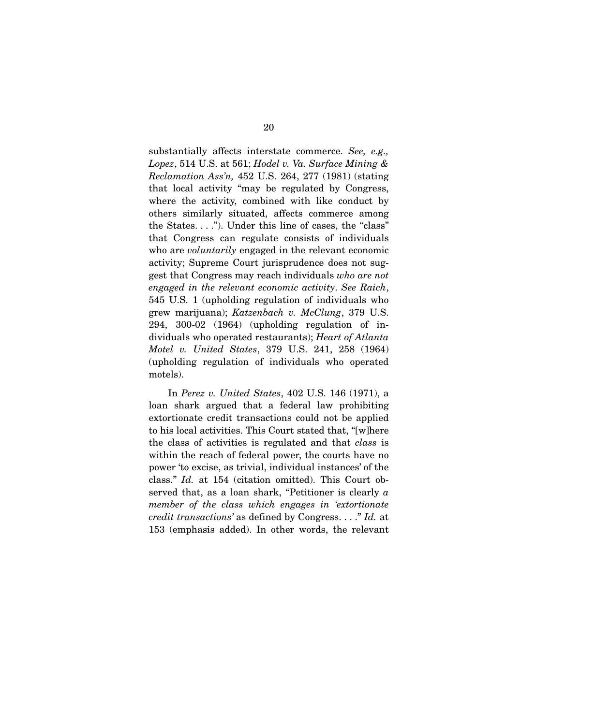substantially affects interstate commerce. *See, e.g., Lopez*, 514 U.S. at 561; *Hodel v. Va. Surface Mining & Reclamation Ass'n,* 452 U.S. 264, 277 (1981) (stating that local activity "may be regulated by Congress, where the activity, combined with like conduct by others similarly situated, affects commerce among the States. . . ."). Under this line of cases, the "class" that Congress can regulate consists of individuals who are *voluntarily* engaged in the relevant economic activity; Supreme Court jurisprudence does not suggest that Congress may reach individuals *who are not engaged in the relevant economic activity*. *See Raich*, 545 U.S. 1 (upholding regulation of individuals who grew marijuana); *Katzenbach v. McClung*, 379 U.S. 294, 300-02 (1964) (upholding regulation of individuals who operated restaurants); *Heart of Atlanta Motel v. United States*, 379 U.S. 241, 258 (1964) (upholding regulation of individuals who operated motels).

 In *Perez v. United States*, 402 U.S. 146 (1971), a loan shark argued that a federal law prohibiting extortionate credit transactions could not be applied to his local activities. This Court stated that, "[w]here the class of activities is regulated and that *class* is within the reach of federal power, the courts have no power 'to excise, as trivial, individual instances' of the class." *Id.* at 154 (citation omitted). This Court observed that, as a loan shark, "Petitioner is clearly *a member of the class which engages in 'extortionate credit transactions'* as defined by Congress. . . ." *Id.* at 153 (emphasis added). In other words, the relevant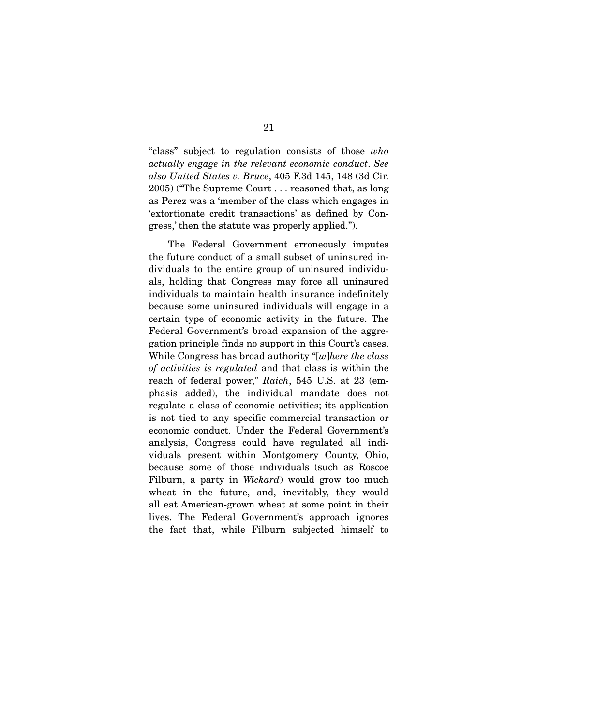"class" subject to regulation consists of those *who actually engage in the relevant economic conduct*. *See also United States v. Bruce*, 405 F.3d 145, 148 (3d Cir. 2005) ("The Supreme Court . . . reasoned that, as long as Perez was a 'member of the class which engages in 'extortionate credit transactions' as defined by Congress,' then the statute was properly applied.").

 The Federal Government erroneously imputes the future conduct of a small subset of uninsured individuals to the entire group of uninsured individuals, holding that Congress may force all uninsured individuals to maintain health insurance indefinitely because some uninsured individuals will engage in a certain type of economic activity in the future. The Federal Government's broad expansion of the aggregation principle finds no support in this Court's cases. While Congress has broad authority "[*w*]*here the class of activities is regulated* and that class is within the reach of federal power," *Raich*, 545 U.S. at 23 (emphasis added), the individual mandate does not regulate a class of economic activities; its application is not tied to any specific commercial transaction or economic conduct. Under the Federal Government's analysis, Congress could have regulated all individuals present within Montgomery County, Ohio, because some of those individuals (such as Roscoe Filburn, a party in *Wickard*) would grow too much wheat in the future, and, inevitably, they would all eat American-grown wheat at some point in their lives. The Federal Government's approach ignores the fact that, while Filburn subjected himself to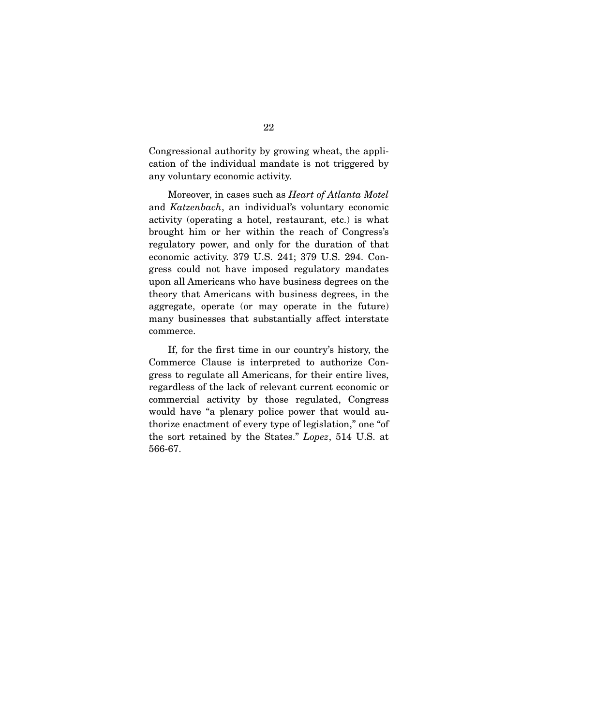Congressional authority by growing wheat, the application of the individual mandate is not triggered by any voluntary economic activity.

 Moreover, in cases such as *Heart of Atlanta Motel*  and *Katzenbach*, an individual's voluntary economic activity (operating a hotel, restaurant, etc.) is what brought him or her within the reach of Congress's regulatory power, and only for the duration of that economic activity. 379 U.S. 241; 379 U.S. 294. Congress could not have imposed regulatory mandates upon all Americans who have business degrees on the theory that Americans with business degrees, in the aggregate, operate (or may operate in the future) many businesses that substantially affect interstate commerce.

 If, for the first time in our country's history, the Commerce Clause is interpreted to authorize Congress to regulate all Americans, for their entire lives, regardless of the lack of relevant current economic or commercial activity by those regulated, Congress would have "a plenary police power that would authorize enactment of every type of legislation," one "of the sort retained by the States." *Lopez*, 514 U.S. at 566-67.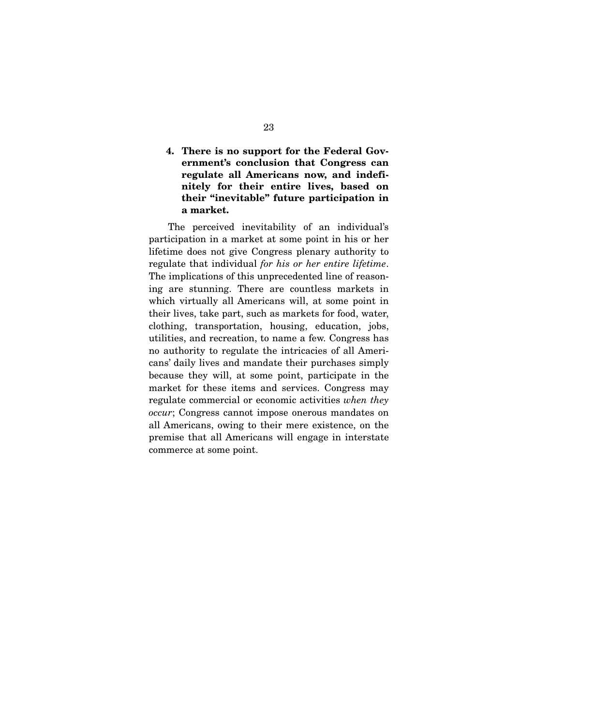## **4. There is no support for the Federal Government's conclusion that Congress can regulate all Americans now, and indefinitely for their entire lives, based on their "inevitable" future participation in a market.**

The perceived inevitability of an individual's participation in a market at some point in his or her lifetime does not give Congress plenary authority to regulate that individual *for his or her entire lifetime*. The implications of this unprecedented line of reasoning are stunning. There are countless markets in which virtually all Americans will, at some point in their lives, take part, such as markets for food, water, clothing, transportation, housing, education, jobs, utilities, and recreation, to name a few. Congress has no authority to regulate the intricacies of all Americans' daily lives and mandate their purchases simply because they will, at some point, participate in the market for these items and services. Congress may regulate commercial or economic activities *when they occur*; Congress cannot impose onerous mandates on all Americans, owing to their mere existence, on the premise that all Americans will engage in interstate commerce at some point.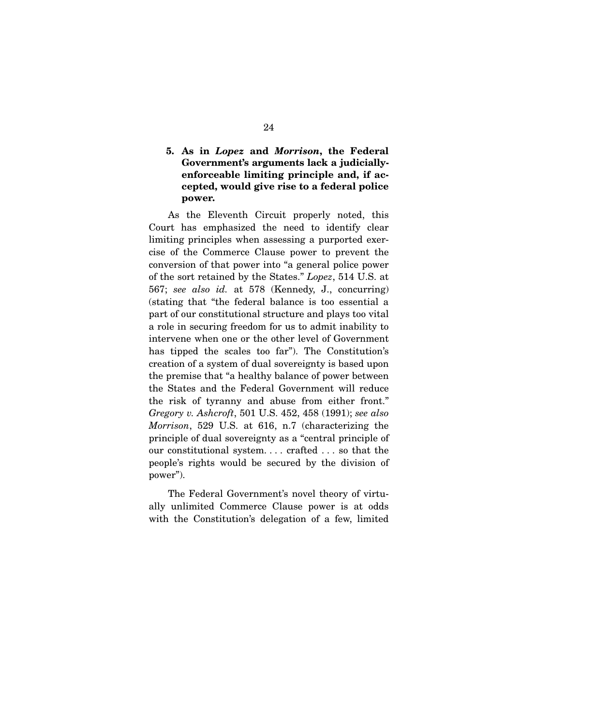## **5. As in** *Lopez* **and** *Morrison***, the Federal Government's arguments lack a judiciallyenforceable limiting principle and, if accepted, would give rise to a federal police power.**

As the Eleventh Circuit properly noted, this Court has emphasized the need to identify clear limiting principles when assessing a purported exercise of the Commerce Clause power to prevent the conversion of that power into "a general police power of the sort retained by the States." *Lopez*, 514 U.S. at 567; *see also id.* at 578 (Kennedy, J., concurring) (stating that "the federal balance is too essential a part of our constitutional structure and plays too vital a role in securing freedom for us to admit inability to intervene when one or the other level of Government has tipped the scales too far"). The Constitution's creation of a system of dual sovereignty is based upon the premise that "a healthy balance of power between the States and the Federal Government will reduce the risk of tyranny and abuse from either front." *Gregory v. Ashcroft*, 501 U.S. 452, 458 (1991); *see also Morrison*, 529 U.S. at 616, n.7 (characterizing the principle of dual sovereignty as a "central principle of our constitutional system. . . . crafted . . . so that the people's rights would be secured by the division of power").

 The Federal Government's novel theory of virtually unlimited Commerce Clause power is at odds with the Constitution's delegation of a few, limited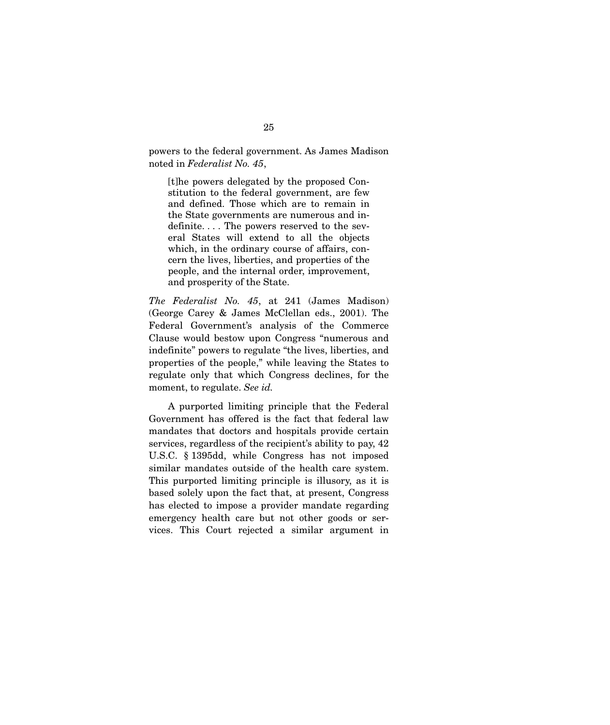powers to the federal government. As James Madison noted in *Federalist No. 45*,

[t]he powers delegated by the proposed Constitution to the federal government, are few and defined. Those which are to remain in the State governments are numerous and indefinite. . . . The powers reserved to the several States will extend to all the objects which, in the ordinary course of affairs, concern the lives, liberties, and properties of the people, and the internal order, improvement, and prosperity of the State.

*The Federalist No. 45*, at 241 (James Madison) (George Carey & James McClellan eds., 2001). The Federal Government's analysis of the Commerce Clause would bestow upon Congress "numerous and indefinite" powers to regulate "the lives, liberties, and properties of the people," while leaving the States to regulate only that which Congress declines, for the moment, to regulate. *See id.* 

A purported limiting principle that the Federal Government has offered is the fact that federal law mandates that doctors and hospitals provide certain services, regardless of the recipient's ability to pay, 42 U.S.C. § 1395dd, while Congress has not imposed similar mandates outside of the health care system. This purported limiting principle is illusory, as it is based solely upon the fact that, at present, Congress has elected to impose a provider mandate regarding emergency health care but not other goods or services. This Court rejected a similar argument in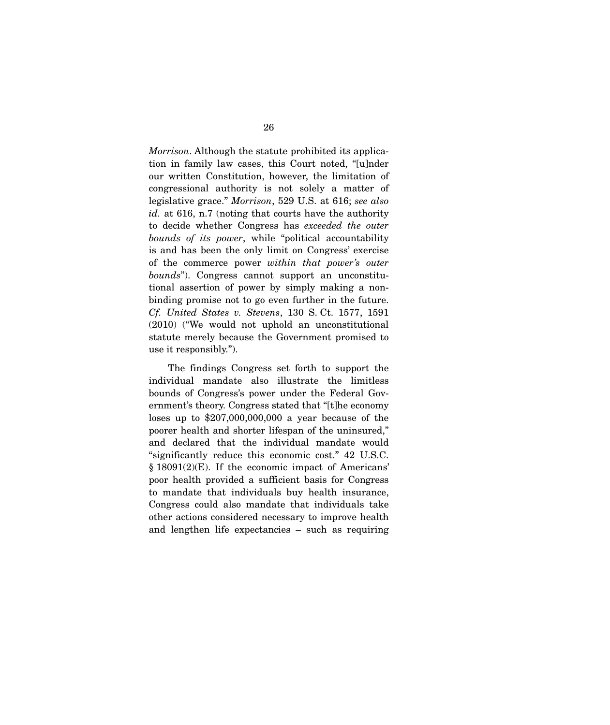*Morrison*. Although the statute prohibited its application in family law cases, this Court noted, "[u]nder our written Constitution, however, the limitation of congressional authority is not solely a matter of legislative grace." *Morrison*, 529 U.S. at 616; *see also id.* at 616, n.7 (noting that courts have the authority to decide whether Congress has *exceeded the outer bounds of its power*, while "political accountability is and has been the only limit on Congress' exercise of the commerce power *within that power's outer bounds*"). Congress cannot support an unconstitutional assertion of power by simply making a nonbinding promise not to go even further in the future. *Cf. United States v. Stevens*, 130 S. Ct. 1577, 1591 (2010) ("We would not uphold an unconstitutional statute merely because the Government promised to use it responsibly.").

 The findings Congress set forth to support the individual mandate also illustrate the limitless bounds of Congress's power under the Federal Government's theory. Congress stated that "[t]he economy loses up to \$207,000,000,000 a year because of the poorer health and shorter lifespan of the uninsured," and declared that the individual mandate would "significantly reduce this economic cost." 42 U.S.C. § 18091(2)(E). If the economic impact of Americans' poor health provided a sufficient basis for Congress to mandate that individuals buy health insurance, Congress could also mandate that individuals take other actions considered necessary to improve health and lengthen life expectancies – such as requiring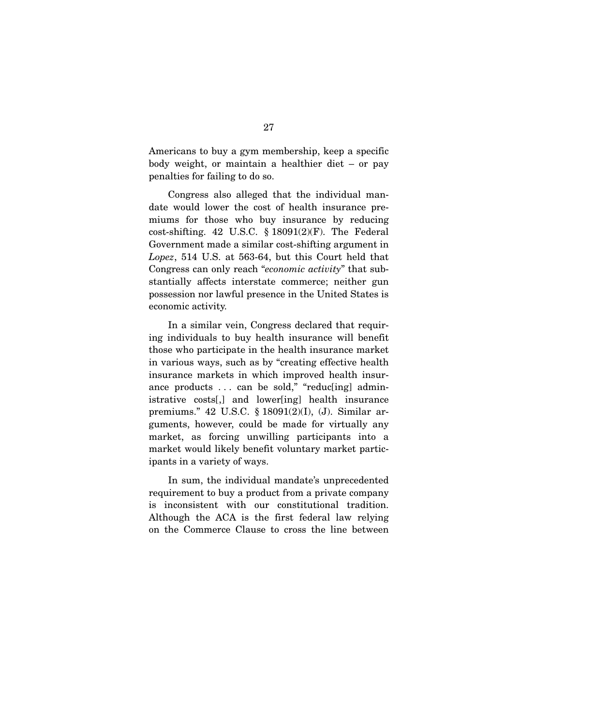Americans to buy a gym membership, keep a specific body weight, or maintain a healthier diet – or pay penalties for failing to do so.

 Congress also alleged that the individual mandate would lower the cost of health insurance premiums for those who buy insurance by reducing cost-shifting. 42 U.S.C.  $\S$  18091(2)(F). The Federal Government made a similar cost-shifting argument in *Lopez*, 514 U.S. at 563-64, but this Court held that Congress can only reach "*economic activity*" that substantially affects interstate commerce; neither gun possession nor lawful presence in the United States is economic activity.

 In a similar vein, Congress declared that requiring individuals to buy health insurance will benefit those who participate in the health insurance market in various ways, such as by "creating effective health insurance markets in which improved health insurance products ... can be sold," "reduc[ing] administrative costs[,] and lower[ing] health insurance premiums." 42 U.S.C. § 18091(2)(I), (J). Similar arguments, however, could be made for virtually any market, as forcing unwilling participants into a market would likely benefit voluntary market participants in a variety of ways.

 In sum, the individual mandate's unprecedented requirement to buy a product from a private company is inconsistent with our constitutional tradition. Although the ACA is the first federal law relying on the Commerce Clause to cross the line between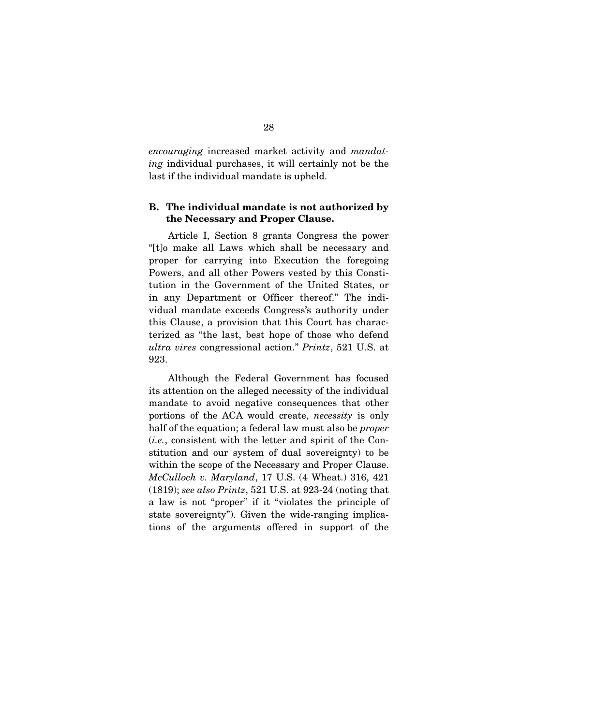*encouraging* increased market activity and *mandating* individual purchases, it will certainly not be the last if the individual mandate is upheld.

### **B. The individual mandate is not authorized by the Necessary and Proper Clause.**

Article I, Section 8 grants Congress the power "[t]o make all Laws which shall be necessary and proper for carrying into Execution the foregoing Powers, and all other Powers vested by this Constitution in the Government of the United States, or in any Department or Officer thereof." The individual mandate exceeds Congress's authority under this Clause, a provision that this Court has characterized as "the last, best hope of those who defend *ultra vires* congressional action." *Printz*, 521 U.S. at 923.

 Although the Federal Government has focused its attention on the alleged necessity of the individual mandate to avoid negative consequences that other portions of the ACA would create, *necessity* is only half of the equation; a federal law must also be *proper* (*i.e.*, consistent with the letter and spirit of the Constitution and our system of dual sovereignty) to be within the scope of the Necessary and Proper Clause. *McCulloch v. Maryland*, 17 U.S. (4 Wheat.) 316, 421 (1819); *see also Printz*, 521 U.S. at 923-24 (noting that a law is not "proper" if it "violates the principle of state sovereignty"). Given the wide-ranging implications of the arguments offered in support of the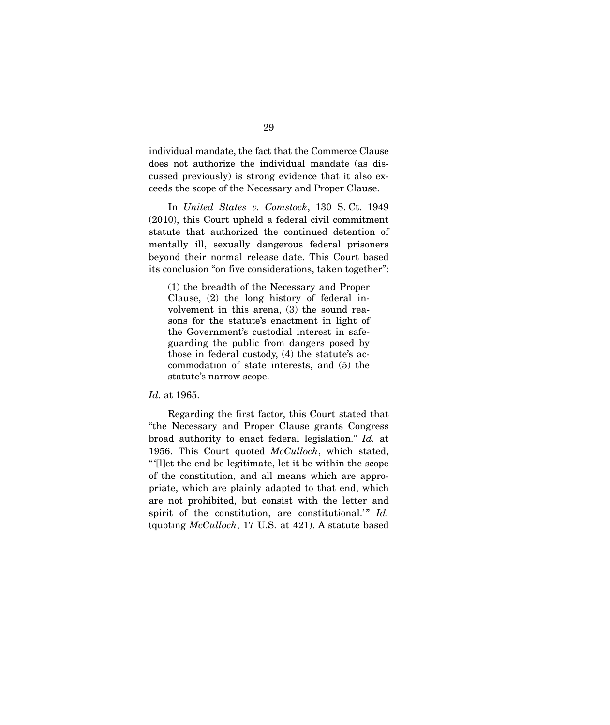individual mandate, the fact that the Commerce Clause does not authorize the individual mandate (as discussed previously) is strong evidence that it also exceeds the scope of the Necessary and Proper Clause.

 In *United States v. Comstock*, 130 S. Ct. 1949 (2010), this Court upheld a federal civil commitment statute that authorized the continued detention of mentally ill, sexually dangerous federal prisoners beyond their normal release date. This Court based its conclusion "on five considerations, taken together":

(1) the breadth of the Necessary and Proper Clause, (2) the long history of federal involvement in this arena, (3) the sound reasons for the statute's enactment in light of the Government's custodial interest in safeguarding the public from dangers posed by those in federal custody, (4) the statute's accommodation of state interests, and (5) the statute's narrow scope.

#### *Id.* at 1965.

 Regarding the first factor, this Court stated that "the Necessary and Proper Clause grants Congress broad authority to enact federal legislation." *Id.* at 1956. This Court quoted *McCulloch*, which stated, " '[l]et the end be legitimate, let it be within the scope of the constitution, and all means which are appropriate, which are plainly adapted to that end, which are not prohibited, but consist with the letter and spirit of the constitution, are constitutional.'" *Id.* (quoting *McCulloch*, 17 U.S. at 421). A statute based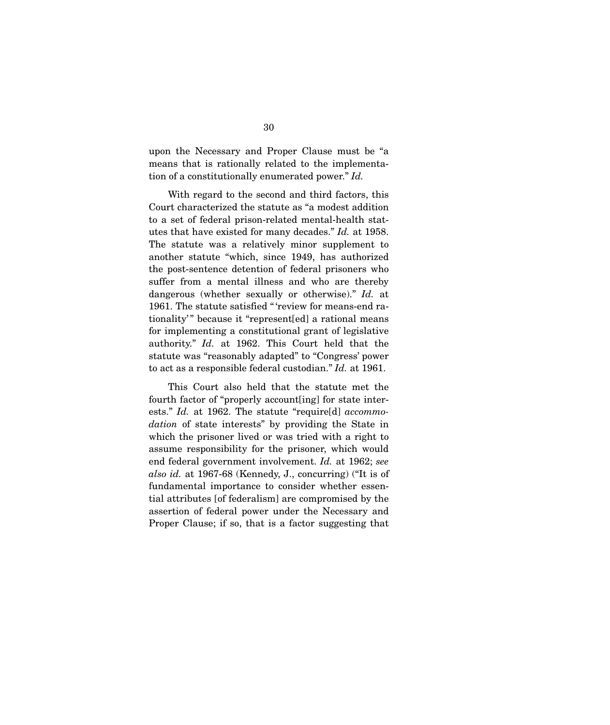upon the Necessary and Proper Clause must be "a means that is rationally related to the implementation of a constitutionally enumerated power." *Id.* 

With regard to the second and third factors, this Court characterized the statute as "a modest addition to a set of federal prison-related mental-health statutes that have existed for many decades." *Id.* at 1958. The statute was a relatively minor supplement to another statute "which, since 1949, has authorized the post-sentence detention of federal prisoners who suffer from a mental illness and who are thereby dangerous (whether sexually or otherwise)." *Id.* at 1961. The statute satisfied "'review for means-end rationality'" because it "represent[ed] a rational means for implementing a constitutional grant of legislative authority." *Id.* at 1962. This Court held that the statute was "reasonably adapted" to "Congress' power to act as a responsible federal custodian." *Id.* at 1961.

 This Court also held that the statute met the fourth factor of "properly account[ing] for state interests." *Id.* at 1962. The statute "require[d] *accommodation* of state interests" by providing the State in which the prisoner lived or was tried with a right to assume responsibility for the prisoner, which would end federal government involvement. *Id.* at 1962; *see also id.* at 1967-68 (Kennedy, J., concurring) ("It is of fundamental importance to consider whether essential attributes [of federalism] are compromised by the assertion of federal power under the Necessary and Proper Clause; if so, that is a factor suggesting that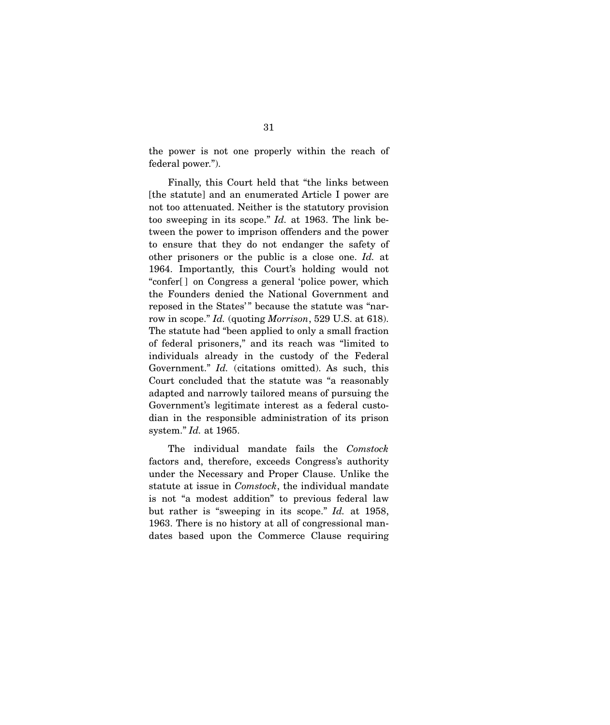the power is not one properly within the reach of federal power.").

 Finally, this Court held that "the links between [the statute] and an enumerated Article I power are not too attenuated. Neither is the statutory provision too sweeping in its scope." *Id.* at 1963. The link between the power to imprison offenders and the power to ensure that they do not endanger the safety of other prisoners or the public is a close one. *Id.* at 1964. Importantly, this Court's holding would not "confer[ ] on Congress a general 'police power, which the Founders denied the National Government and reposed in the States'" because the statute was "narrow in scope." *Id.* (quoting *Morrison*, 529 U.S. at 618). The statute had "been applied to only a small fraction of federal prisoners," and its reach was "limited to individuals already in the custody of the Federal Government." *Id.* (citations omitted). As such, this Court concluded that the statute was "a reasonably adapted and narrowly tailored means of pursuing the Government's legitimate interest as a federal custodian in the responsible administration of its prison system." *Id.* at 1965.

 The individual mandate fails the *Comstock* factors and, therefore, exceeds Congress's authority under the Necessary and Proper Clause. Unlike the statute at issue in *Comstock*, the individual mandate is not "a modest addition" to previous federal law but rather is "sweeping in its scope." *Id.* at 1958, 1963. There is no history at all of congressional mandates based upon the Commerce Clause requiring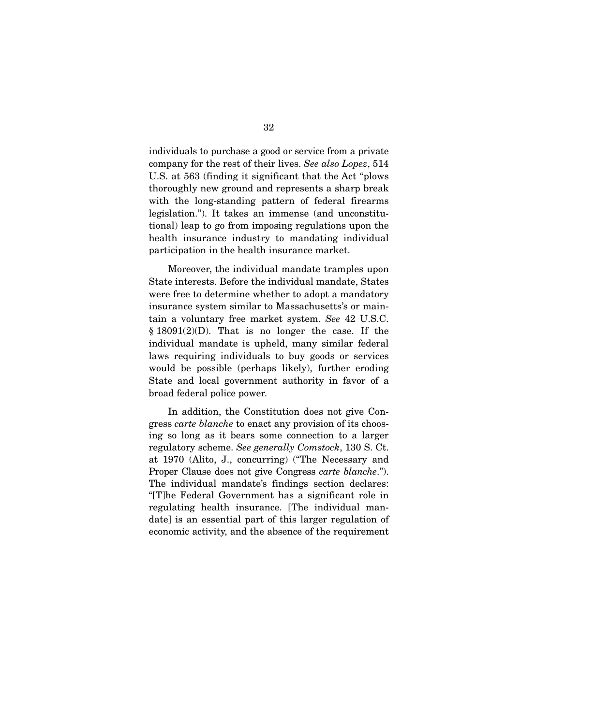individuals to purchase a good or service from a private company for the rest of their lives. *See also Lopez*, 514 U.S. at 563 (finding it significant that the Act "plows thoroughly new ground and represents a sharp break with the long-standing pattern of federal firearms legislation."). It takes an immense (and unconstitutional) leap to go from imposing regulations upon the health insurance industry to mandating individual participation in the health insurance market.

 Moreover, the individual mandate tramples upon State interests. Before the individual mandate, States were free to determine whether to adopt a mandatory insurance system similar to Massachusetts's or maintain a voluntary free market system. *See* 42 U.S.C.  $§ 18091(2)(D)$ . That is no longer the case. If the individual mandate is upheld, many similar federal laws requiring individuals to buy goods or services would be possible (perhaps likely), further eroding State and local government authority in favor of a broad federal police power.

 In addition, the Constitution does not give Congress *carte blanche* to enact any provision of its choosing so long as it bears some connection to a larger regulatory scheme. *See generally Comstock*, 130 S. Ct. at 1970 (Alito, J., concurring) ("The Necessary and Proper Clause does not give Congress *carte blanche*."). The individual mandate's findings section declares: "[T]he Federal Government has a significant role in regulating health insurance. [The individual mandate] is an essential part of this larger regulation of economic activity, and the absence of the requirement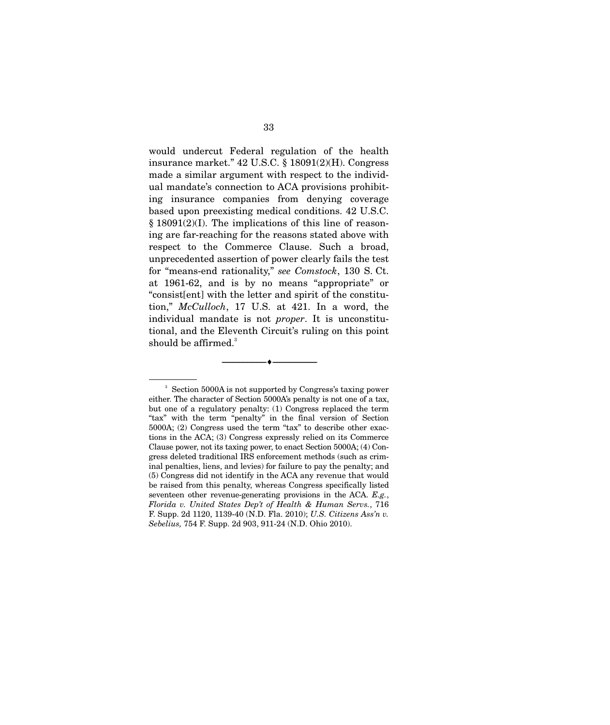would undercut Federal regulation of the health insurance market." 42 U.S.C. § 18091(2)(H). Congress made a similar argument with respect to the individual mandate's connection to ACA provisions prohibiting insurance companies from denying coverage based upon preexisting medical conditions. 42 U.S.C. § 18091(2)(I). The implications of this line of reasoning are far-reaching for the reasons stated above with respect to the Commerce Clause. Such a broad, unprecedented assertion of power clearly fails the test for "means-end rationality," *see Comstock*, 130 S. Ct. at 1961-62, and is by no means "appropriate" or "consist[ent] with the letter and spirit of the constitution," *McCulloch*, 17 U.S. at 421. In a word, the individual mandate is not *proper*. It is unconstitutional, and the Eleventh Circuit's ruling on this point should be affirmed. $3$ 

--------------------------------- ♦ ---------------------------------

<sup>3</sup> Section 5000A is not supported by Congress's taxing power either. The character of Section 5000A's penalty is not one of a tax, but one of a regulatory penalty: (1) Congress replaced the term "tax" with the term "penalty" in the final version of Section 5000A; (2) Congress used the term "tax" to describe other exactions in the ACA; (3) Congress expressly relied on its Commerce Clause power, not its taxing power, to enact Section 5000A; (4) Congress deleted traditional IRS enforcement methods (such as criminal penalties, liens, and levies) for failure to pay the penalty; and (5) Congress did not identify in the ACA any revenue that would be raised from this penalty, whereas Congress specifically listed seventeen other revenue-generating provisions in the ACA. *E.g.*, *Florida v. United States Dep't of Health & Human Servs.*, 716 F. Supp. 2d 1120, 1139-40 (N.D. Fla. 2010); *U.S. Citizens Ass'n v. Sebelius,* 754 F. Supp. 2d 903, 911-24 (N.D. Ohio 2010).